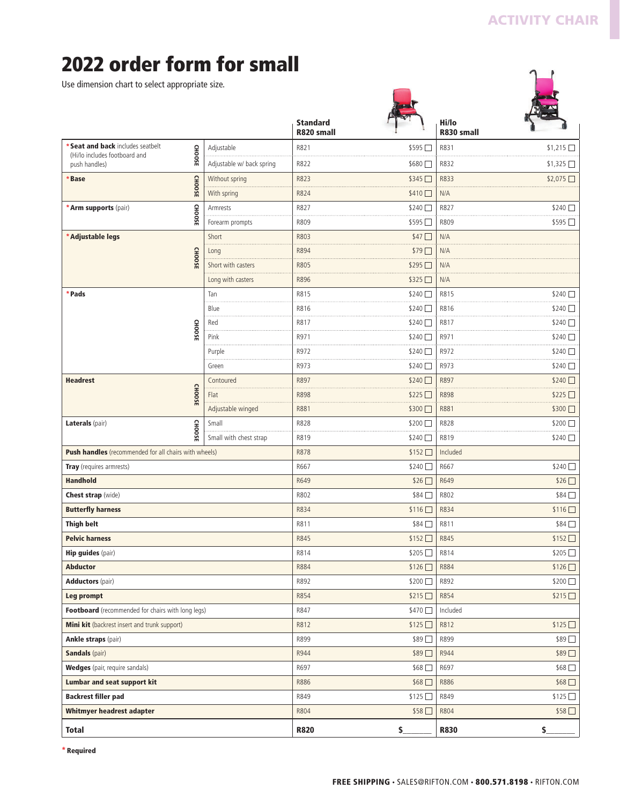$\mathbf{L}$ 

# **2022 order form for small**

Use dimension chart to select appropriate size.

|                                                                                     |               |                           | <b>Standard</b><br>R820 small |                 | Hi/lo<br>R830 small |                  |
|-------------------------------------------------------------------------------------|---------------|---------------------------|-------------------------------|-----------------|---------------------|------------------|
| * Seat and back includes seatbelt<br>(Hi/lo includes footboard and<br>push handles) |               | Adjustable                | R821                          | \$595           | R831                | $$1,215$ $\Box$  |
|                                                                                     | <b>CHOOSE</b> | Adjustable w/ back spring | R822                          | \$680 ∐         | R832                | $$1,325$ $\Box$  |
| <b>CHOOSE</b><br><b>Base</b>                                                        |               | Without spring            | R823                          | \$345□          | R833                | \$2,075          |
|                                                                                     |               | With spring               | R824                          | $$410$ $\Box$   | N/A                 |                  |
| * Arm supports (pair)                                                               | <b>CHOOSE</b> | Armrests                  | R827                          | \$240 □         | R827                | $$240$ $\Box$    |
|                                                                                     |               | Forearm prompts           | R809                          | \$595□          | R809                | \$595□           |
| * Adjustable legs                                                                   |               | Short                     | R803                          | \$47            | N/A                 |                  |
|                                                                                     | <b>CHOOSE</b> | Long                      | R894                          | \$79            | N/A                 |                  |
|                                                                                     |               | Short with casters        | R805                          | \$295           | N/A                 |                  |
|                                                                                     |               | Long with casters         | R896                          | \$325           | N/A                 |                  |
| *Pads                                                                               |               | Tan                       | R815                          | $$240$ $\Box$   | R815                | $$240$ $\Box$    |
|                                                                                     |               | Blue                      | R816                          | \$240           | R816                | \$240            |
|                                                                                     | <b>CHOOSE</b> | Red                       | R817                          | \$240 □         | R817                | \$240            |
|                                                                                     |               | Pink                      | R971                          | \$240 □         | R971                | \$240 M          |
|                                                                                     |               | Purple                    | R972                          | \$240           | R972                | \$240            |
|                                                                                     |               | Green                     | R973                          | \$240           | R973                | \$240            |
| <b>Headrest</b>                                                                     |               | Contoured                 | R897                          | \$240           | R897                | \$240            |
|                                                                                     | <b>CHOOSE</b> | Flat                      | <b>R898</b>                   | \$225□          | R898                | \$225            |
|                                                                                     |               | Adjustable winged         | R881                          | $$300$ $\Box$   | R881                | \$300 □          |
| Laterals (pair)                                                                     | <b>CHOOSE</b> | Small                     | R828                          | \$200 □         | R828                | \$200 □          |
|                                                                                     |               | Small with chest strap    | R819                          | \$240 □         | R819                | \$240            |
| Push handles (recommended for all chairs with wheels)                               |               |                           | R878                          | \$152           | Included            |                  |
| Tray (requires armrests)                                                            |               |                           | R667                          | \$240 □         | R667                | \$240 □          |
| <b>Handhold</b>                                                                     |               |                           | R649                          | \$26            | R649                | \$26□            |
| <b>Chest strap</b> (wide)                                                           |               |                           | R802                          | \$84            | R802                | \$84 □           |
| <b>Butterfly harness</b>                                                            |               |                           | R834                          | $$116$ $\Box$   | R834                | $$116$ $\Box$    |
| <b>Thigh belt</b>                                                                   |               |                           | R811                          | \$84            | R811                | \$84□            |
| <b>Pelvic harness</b>                                                               |               |                           | R845                          | \$152□          | R845                | \$152            |
| <b>Hip guides (pair)</b>                                                            |               |                           | R814                          | \$205□          | R814                | \$205□           |
| <b>Abductor</b>                                                                     |               |                           | R884                          | \$126           | R884                | \$126□           |
| <b>Adductors</b> (pair)                                                             |               |                           | R892                          | \$200           | R892                | \$200□           |
| Leg prompt                                                                          |               |                           | R854                          | \$215           | R854                | $$215$ $\Box$    |
| Footboard (recommended for chairs with long legs)                                   |               |                           | R847                          | \$470           | Included            |                  |
| Mini kit (backrest insert and trunk support)                                        |               |                           | R812                          | \$125           | R812                | \$125□           |
| <b>Ankle straps (pair)</b>                                                          |               |                           | R899                          | \$89□           | R899                | \$89□            |
| <b>Sandals</b> (pair)                                                               |               |                           | R944                          | \$89□           | R944                | \$89□            |
| <b>Wedges</b> (pair, require sandals)                                               |               |                           | R697                          | \$68            | R697                | \$68□            |
| <b>Lumbar and seat support kit</b>                                                  |               |                           | R886                          | $$68$ $\square$ | R886                | $$68$ $\square$  |
| <b>Backrest filler pad</b>                                                          |               |                           | R849                          | \$125           | R849                | \$125□           |
| Whitmyer headrest adapter                                                           |               |                           | R804                          | \$58            | R804                | \$58□            |
| <b>Total</b>                                                                        |               |                           | <b>R820</b>                   | $\mathsf{S}_-$  | <b>R830</b>         | $\mathsf{S}_{-}$ |

**\* Required**